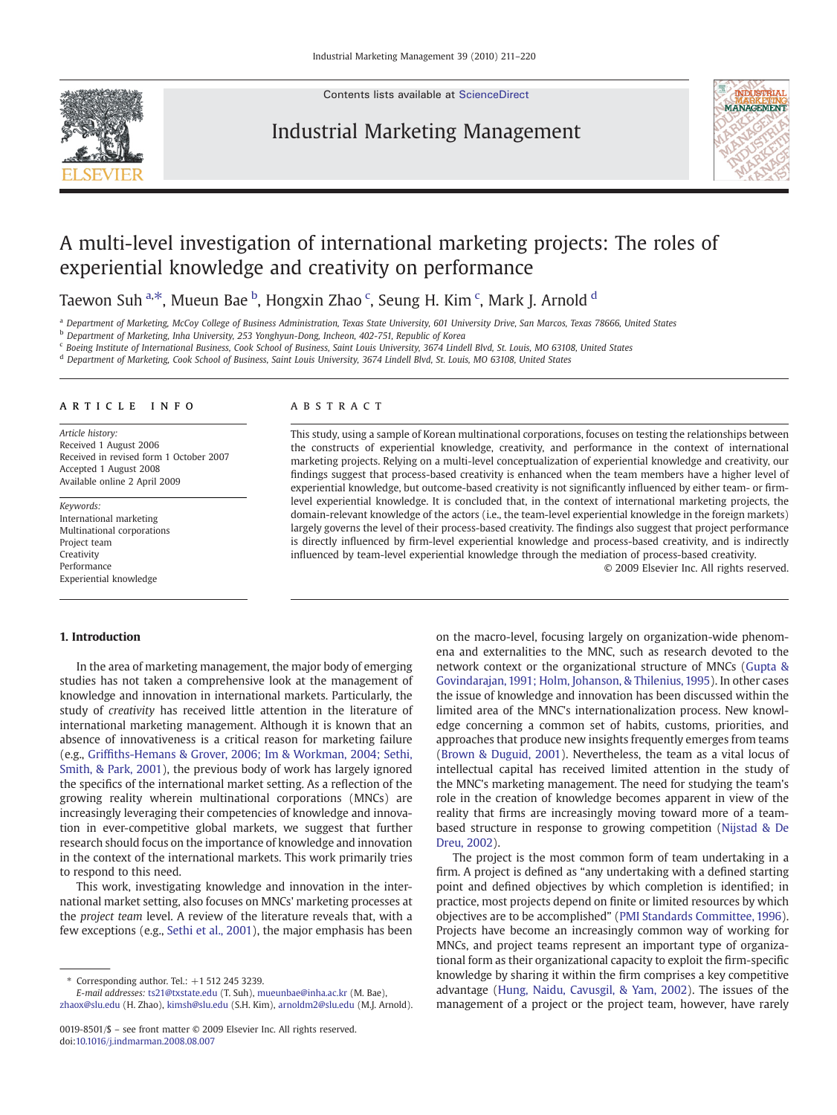

Contents lists available at [ScienceDirect](http://www.sciencedirect.com/science/journal/00198501)

## Industrial Marketing Management



# A multi-level investigation of international marketing projects: The roles of experiential knowledge and creativity on performance

Taewon Suh <sup>a, $\ast$ </sup>, Mueun Bae <sup>b</sup>, Hongxin Zhao <sup>c</sup>, Seung H. Kim <sup>c</sup>, Mark J. Arnold <sup>d</sup>

a Department of Marketing, McCoy College of Business Administration, Texas State University, 601 University Drive, San Marcos, Texas 78666, United States

<sup>b</sup> Department of Marketing, Inha University, 253 Yonghyun-Dong, Incheon, 402-751, Republic of Korea

<sup>c</sup> Boeing Institute of International Business, Cook School of Business, Saint Louis University, 3674 Lindell Blvd, St. Louis, MO 63108, United States

<sup>d</sup> Department of Marketing, Cook School of Business, Saint Louis University, 3674 Lindell Blvd, St. Louis, MO 63108, United States

#### article info abstract

Article history: Received 1 August 2006 Received in revised form 1 October 2007 Accepted 1 August 2008 Available online 2 April 2009

Keywords: International marketing Multinational corporations Project team Creativity Performance Experiential knowledge

This study, using a sample of Korean multinational corporations, focuses on testing the relationships between the constructs of experiential knowledge, creativity, and performance in the context of international marketing projects. Relying on a multi-level conceptualization of experiential knowledge and creativity, our findings suggest that process-based creativity is enhanced when the team members have a higher level of experiential knowledge, but outcome-based creativity is not significantly influenced by either team- or firmlevel experiential knowledge. It is concluded that, in the context of international marketing projects, the domain-relevant knowledge of the actors (i.e., the team-level experiential knowledge in the foreign markets) largely governs the level of their process-based creativity. The findings also suggest that project performance is directly influenced by firm-level experiential knowledge and process-based creativity, and is indirectly influenced by team-level experiential knowledge through the mediation of process-based creativity.

© 2009 Elsevier Inc. All rights reserved.

### 1. Introduction

In the area of marketing management, the major body of emerging studies has not taken a comprehensive look at the management of knowledge and innovation in international markets. Particularly, the study of creativity has received little attention in the literature of international marketing management. Although it is known that an absence of innovativeness is a critical reason for marketing failure (e.g., Griffi[ths-Hemans & Grover, 2006; Im & Workman, 2004; Sethi,](#page--1-0) [Smith, & Park, 2001](#page--1-0)), the previous body of work has largely ignored the specifics of the international market setting. As a reflection of the growing reality wherein multinational corporations (MNCs) are increasingly leveraging their competencies of knowledge and innovation in ever-competitive global markets, we suggest that further research should focus on the importance of knowledge and innovation in the context of the international markets. This work primarily tries to respond to this need.

This work, investigating knowledge and innovation in the international market setting, also focuses on MNCs' marketing processes at the project team level. A review of the literature reveals that, with a few exceptions (e.g., [Sethi et al., 2001](#page--1-0)), the major emphasis has been

E-mail addresses: [ts21@txstate.edu](mailto:ts21@txstate.edu) (T. Suh), [mueunbae@inha.ac.kr](mailto:mueunbae@inha.ac.kr) (M. Bae), [zhaox@slu.edu](mailto:zhaox@slu.edu) (H. Zhao), [kimsh@slu.edu](mailto:kimsh@slu.edu) (S.H. Kim), [arnoldm2@slu.edu](mailto:arnoldm2@slu.edu) (M.J. Arnold). on the macro-level, focusing largely on organization-wide phenomena and externalities to the MNC, such as research devoted to the network context or the organizational structure of MNCs ([Gupta &](#page--1-0) [Govindarajan, 1991; Holm, Johanson, & Thilenius, 1995](#page--1-0)). In other cases the issue of knowledge and innovation has been discussed within the limited area of the MNC's internationalization process. New knowledge concerning a common set of habits, customs, priorities, and approaches that produce new insights frequently emerges from teams [\(Brown & Duguid, 2001](#page--1-0)). Nevertheless, the team as a vital locus of intellectual capital has received limited attention in the study of the MNC's marketing management. The need for studying the team's role in the creation of knowledge becomes apparent in view of the reality that firms are increasingly moving toward more of a teambased structure in response to growing competition ([Nijstad & De](#page--1-0) [Dreu, 2002\)](#page--1-0).

The project is the most common form of team undertaking in a firm. A project is defined as "any undertaking with a defined starting point and defined objectives by which completion is identified; in practice, most projects depend on finite or limited resources by which objectives are to be accomplished" [\(PMI Standards Committee, 1996](#page--1-0)). Projects have become an increasingly common way of working for MNCs, and project teams represent an important type of organizational form as their organizational capacity to exploit the firm-specific knowledge by sharing it within the firm comprises a key competitive advantage [\(Hung, Naidu, Cavusgil, & Yam, 2002](#page--1-0)). The issues of the management of a project or the project team, however, have rarely

<sup>⁎</sup> Corresponding author. Tel.: +1 512 245 3239.

<sup>0019-8501/\$</sup> – see front matter © 2009 Elsevier Inc. All rights reserved. doi:[10.1016/j.indmarman.2008.08.007](http://dx.doi.org/10.1016/j.indmarman.2008.08.007)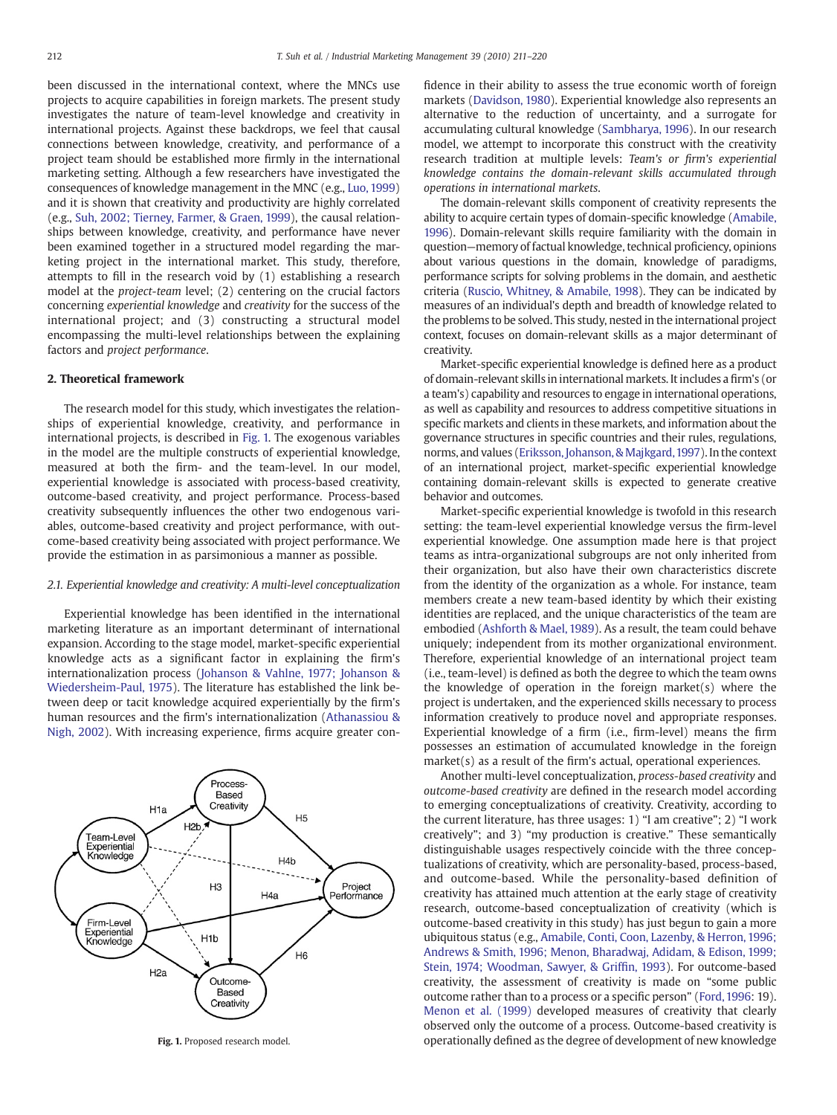been discussed in the international context, where the MNCs use projects to acquire capabilities in foreign markets. The present study investigates the nature of team-level knowledge and creativity in international projects. Against these backdrops, we feel that causal connections between knowledge, creativity, and performance of a project team should be established more firmly in the international marketing setting. Although a few researchers have investigated the consequences of knowledge management in the MNC (e.g., [Luo, 1999](#page--1-0)) and it is shown that creativity and productivity are highly correlated (e.g., [Suh, 2002; Tierney, Farmer, & Graen, 1999\)](#page--1-0), the causal relationships between knowledge, creativity, and performance have never been examined together in a structured model regarding the marketing project in the international market. This study, therefore, attempts to fill in the research void by (1) establishing a research model at the project-team level; (2) centering on the crucial factors concerning experiential knowledge and creativity for the success of the international project; and (3) constructing a structural model encompassing the multi-level relationships between the explaining factors and project performance.

#### 2. Theoretical framework

The research model for this study, which investigates the relationships of experiential knowledge, creativity, and performance in international projects, is described in Fig. 1. The exogenous variables in the model are the multiple constructs of experiential knowledge, measured at both the firm- and the team-level. In our model, experiential knowledge is associated with process-based creativity, outcome-based creativity, and project performance. Process-based creativity subsequently influences the other two endogenous variables, outcome-based creativity and project performance, with outcome-based creativity being associated with project performance. We provide the estimation in as parsimonious a manner as possible.

#### 2.1. Experiential knowledge and creativity: A multi-level conceptualization

Experiential knowledge has been identified in the international marketing literature as an important determinant of international expansion. According to the stage model, market-specific experiential knowledge acts as a significant factor in explaining the firm's internationalization process [\(Johanson & Vahlne, 1977; Johanson &](#page--1-0) [Wiedersheim-Paul, 1975\)](#page--1-0). The literature has established the link between deep or tacit knowledge acquired experientially by the firm's human resources and the firm's internationalization [\(Athanassiou &](#page--1-0) [Nigh, 2002](#page--1-0)). With increasing experience, firms acquire greater con-



fidence in their ability to assess the true economic worth of foreign markets ([Davidson, 1980\)](#page--1-0). Experiential knowledge also represents an alternative to the reduction of uncertainty, and a surrogate for accumulating cultural knowledge ([Sambharya, 1996](#page--1-0)). In our research model, we attempt to incorporate this construct with the creativity research tradition at multiple levels: Team's or firm's experiential knowledge contains the domain-relevant skills accumulated through operations in international markets.

The domain-relevant skills component of creativity represents the ability to acquire certain types of domain-specific knowledge ([Amabile,](#page--1-0) [1996](#page--1-0)). Domain-relevant skills require familiarity with the domain in question—memory of factual knowledge, technical proficiency, opinions about various questions in the domain, knowledge of paradigms, performance scripts for solving problems in the domain, and aesthetic criteria [\(Ruscio, Whitney, & Amabile, 1998](#page--1-0)). They can be indicated by measures of an individual's depth and breadth of knowledge related to the problems to be solved. This study, nested in the international project context, focuses on domain-relevant skills as a major determinant of creativity.

Market-specific experiential knowledge is defined here as a product of domain-relevant skills in international markets. It includes a firm's (or a team's) capability and resources to engage in international operations, as well as capability and resources to address competitive situations in specific markets and clients in these markets, and information about the governance structures in specific countries and their rules, regulations, norms, and values ([Eriksson, Johanson, & Majkgard,1997](#page--1-0)). In the context of an international project, market-specific experiential knowledge containing domain-relevant skills is expected to generate creative behavior and outcomes.

Market-specific experiential knowledge is twofold in this research setting: the team-level experiential knowledge versus the firm-level experiential knowledge. One assumption made here is that project teams as intra-organizational subgroups are not only inherited from their organization, but also have their own characteristics discrete from the identity of the organization as a whole. For instance, team members create a new team-based identity by which their existing identities are replaced, and the unique characteristics of the team are embodied ([Ashforth & Mael, 1989\)](#page--1-0). As a result, the team could behave uniquely; independent from its mother organizational environment. Therefore, experiential knowledge of an international project team (i.e., team-level) is defined as both the degree to which the team owns the knowledge of operation in the foreign market(s) where the project is undertaken, and the experienced skills necessary to process information creatively to produce novel and appropriate responses. Experiential knowledge of a firm (i.e., firm-level) means the firm possesses an estimation of accumulated knowledge in the foreign market(s) as a result of the firm's actual, operational experiences.

Another multi-level conceptualization, process-based creativity and outcome-based creativity are defined in the research model according to emerging conceptualizations of creativity. Creativity, according to the current literature, has three usages: 1) "I am creative"; 2) "I work creatively"; and 3) "my production is creative." These semantically distinguishable usages respectively coincide with the three conceptualizations of creativity, which are personality-based, process-based, and outcome-based. While the personality-based definition of creativity has attained much attention at the early stage of creativity research, outcome-based conceptualization of creativity (which is outcome-based creativity in this study) has just begun to gain a more ubiquitous status (e.g., [Amabile, Conti, Coon, Lazenby, & Herron, 1996;](#page--1-0) [Andrews & Smith, 1996; Menon, Bharadwaj, Adidam, & Edison, 1999;](#page--1-0) [Stein, 1974; Woodman, Sawyer, & Grif](#page--1-0)fin, 1993). For outcome-based creativity, the assessment of creativity is made on "some public outcome rather than to a process or a specific person" ([Ford, 1996:](#page--1-0) 19). [Menon et al. \(1999\)](#page--1-0) developed measures of creativity that clearly observed only the outcome of a process. Outcome-based creativity is Fig. 1. Proposed research model. **operationally defined as the degree of development of new knowledge**